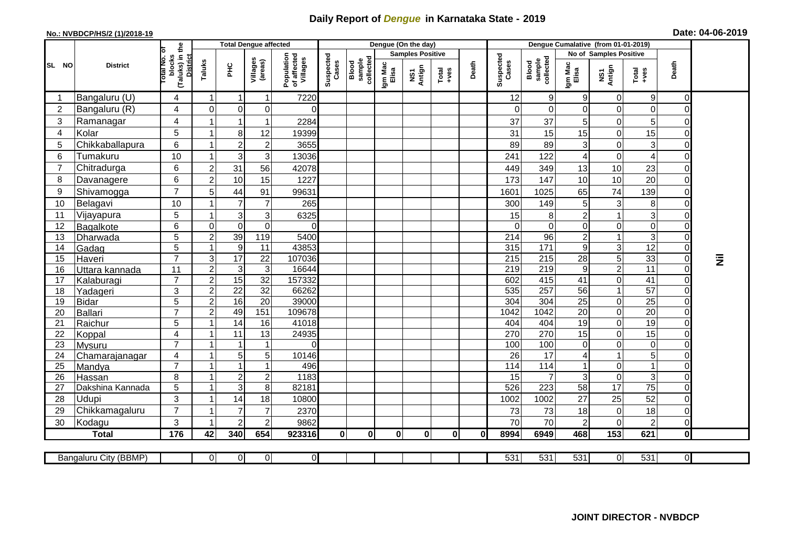## **Daily Report of** *Dengue* **in Karnataka State - 2019**

## **No.: NVBDCP/HS/2 (1)/2018-19 Date: 04-06-2019**

|                |                       |                                                             |                |                         | <b>Total Dengue affected</b>     |                                       |                    |                              |                  | Dengue (On the day)     |                                                                                                                                                                                                                                                                                                                                                                                                             |          | Dengue Cumalative (from 01-01-2019)<br>No of Samples Positive |                              |                      |                           |                                   |                                  |           |
|----------------|-----------------------|-------------------------------------------------------------|----------------|-------------------------|----------------------------------|---------------------------------------|--------------------|------------------------------|------------------|-------------------------|-------------------------------------------------------------------------------------------------------------------------------------------------------------------------------------------------------------------------------------------------------------------------------------------------------------------------------------------------------------------------------------------------------------|----------|---------------------------------------------------------------|------------------------------|----------------------|---------------------------|-----------------------------------|----------------------------------|-----------|
|                |                       |                                                             |                |                         |                                  |                                       |                    |                              |                  | <b>Samples Positive</b> |                                                                                                                                                                                                                                                                                                                                                                                                             |          |                                                               |                              |                      |                           |                                   |                                  |           |
| SL NO          | <b>District</b>       | (Taluks) in the<br>otal No. of<br>blocks<br><b>District</b> | Taluks         | ΞÉ                      | Villages<br>(areas)              | Population<br>of affected<br>Villages | Suspected<br>Cases | sample<br>collected<br>Blood | Igm Mac<br>Elisa | NS1<br>Antign           | $\begin{array}{c}\n\text{Total} \\ \text{1-4} \\ \text{1-4} \\ \text{1-4} \\ \text{1-4} \\ \text{1-4} \\ \text{1-4} \\ \text{1-4} \\ \text{1-4} \\ \text{1-4} \\ \text{1-4} \\ \text{1-4} \\ \text{1-4} \\ \text{1-4} \\ \text{1-4} \\ \text{1-4} \\ \text{1-4} \\ \text{1-4} \\ \text{1-4} \\ \text{1-4} \\ \text{1-4} \\ \text{1-4} \\ \text{1-4} \\ \text{1-4} \\ \text{1-4} \\ \text{1-4} \\ \text{1-4$ | Death    | Suspected<br>Cases                                            | sample<br>collected<br>Blood | Igm Mac<br>Elisa     | NS1<br>Antign             | Total<br>$+ves$                   | Death                            |           |
|                | Bangaluru (U)         | $\overline{4}$                                              | $\mathbf 1$    | $\overline{\mathbf{1}}$ | 1                                | 7220                                  |                    |                              |                  |                         |                                                                                                                                                                                                                                                                                                                                                                                                             |          | 12                                                            | 9                            | 9                    | 0                         | 9                                 | $\overline{0}$                   |           |
| $\overline{2}$ | Bangaluru (R)         | 4                                                           | $\mathbf 0$    | $\mathbf 0$             | $\mathbf 0$                      | 0                                     |                    |                              |                  |                         |                                                                                                                                                                                                                                                                                                                                                                                                             |          | $\Omega$                                                      | $\Omega$                     | $\overline{0}$       | $\mathbf 0$               | $\mathbf 0$                       | $\Omega$                         |           |
| 3              | Ramanagar             | 4                                                           |                | 1                       | 1                                | 2284                                  |                    |                              |                  |                         |                                                                                                                                                                                                                                                                                                                                                                                                             |          | 37                                                            | 37                           | 5                    | 0                         | $5\phantom{.0}$                   | 0                                |           |
| $\overline{4}$ | Kolar                 | 5                                                           |                | 8                       | 12                               | 19399                                 |                    |                              |                  |                         |                                                                                                                                                                                                                                                                                                                                                                                                             |          | 31                                                            | 15                           | 15                   | $\mathbf 0$               | 15                                | $\Omega$                         |           |
| 5              | Chikkaballapura       | $6\phantom{1}$                                              |                | $\overline{2}$          | $\overline{c}$                   | 3655                                  |                    |                              |                  |                         |                                                                                                                                                                                                                                                                                                                                                                                                             |          | 89                                                            | 89                           | 3                    | $\mathbf 0$               | 3                                 | $\overline{0}$                   |           |
| 6              | Tumakuru              | 10                                                          |                | 3                       | 3                                | 13036                                 |                    |                              |                  |                         |                                                                                                                                                                                                                                                                                                                                                                                                             |          | 241                                                           | 122                          | $\overline{4}$       | $\Omega$                  | $\overline{A}$                    | $\overline{0}$                   |           |
| $\overline{7}$ | Chitradurga           | 6                                                           | $\overline{2}$ | 31                      | 56                               | 42078                                 |                    |                              |                  |                         |                                                                                                                                                                                                                                                                                                                                                                                                             |          | 449                                                           | 349                          | 13                   | 10                        | 23                                | $\overline{0}$                   |           |
| 8              | Davanagere            | 6                                                           | $\overline{2}$ | 10                      | 15                               | 1227                                  |                    |                              |                  |                         |                                                                                                                                                                                                                                                                                                                                                                                                             |          | 173                                                           | 147                          | 10                   | 10                        | $\overline{20}$                   | $\Omega$                         |           |
| 9              | Shivamogga            | $\overline{7}$                                              | 5              | 44                      | 91                               | 99631                                 |                    |                              |                  |                         |                                                                                                                                                                                                                                                                                                                                                                                                             |          | 1601                                                          | 1025                         | 65                   | 74                        | 139                               | 01                               |           |
| 10             | Belagavi              | 10                                                          |                | 7                       | $\overline{7}$                   | 265                                   |                    |                              |                  |                         |                                                                                                                                                                                                                                                                                                                                                                                                             |          | 300                                                           | 149                          | 5                    | 3                         | 8                                 | ΩI                               |           |
| 11             | Vijayapura            | $\overline{5}$                                              |                | 3                       | 3                                | 6325                                  |                    |                              |                  |                         |                                                                                                                                                                                                                                                                                                                                                                                                             |          | 15                                                            | 8                            | $\overline{c}$       |                           | 3                                 | 0                                |           |
| 12             | Bagalkote             | $6\phantom{1}$                                              | $\mathbf 0$    | $\mathbf 0$             | $\pmb{0}$                        | $\Omega$                              |                    |                              |                  |                         |                                                                                                                                                                                                                                                                                                                                                                                                             |          | $\Omega$                                                      | $\mathbf 0$                  | $\mathbf 0$          | $\mathbf 0$               | $\mathbf 0$                       | $\Omega$                         |           |
| 13             | Dharwada              | $\overline{5}$                                              | $\overline{2}$ | 39                      | 119                              | 5400                                  |                    |                              |                  |                         |                                                                                                                                                                                                                                                                                                                                                                                                             |          | $\overline{214}$                                              | 96                           | $\overline{2}$       |                           | ω                                 | $\Omega$                         |           |
| 14             | Gadag                 | 5                                                           |                | 9                       | 11                               | 43853                                 |                    |                              |                  |                         |                                                                                                                                                                                                                                                                                                                                                                                                             |          | 315                                                           | $\frac{1}{171}$              | $\boldsymbol{9}$     | $\ensuremath{\mathsf{3}}$ | 12                                | $\overline{0}$                   |           |
| 15             | Haveri                | $\overline{7}$                                              | 3              | $\overline{17}$         | $\overline{22}$                  | 107036                                |                    |                              |                  |                         |                                                                                                                                                                                                                                                                                                                                                                                                             |          | 215                                                           | $\overline{215}$             | $\overline{28}$      | $\overline{5}$            | 33                                | $\overline{0}$                   | $\bar{z}$ |
| 16             | Uttara kannada        | 11                                                          | $\overline{2}$ | $\mathbf{3}$            | $\mathbf{3}$                     | 16644                                 |                    |                              |                  |                         |                                                                                                                                                                                                                                                                                                                                                                                                             |          | 219                                                           | 219                          | $\boldsymbol{9}$     | $\overline{2}$            | $\overline{11}$                   | $\overline{0}$                   |           |
| 17             | Kalaburagi            | $\overline{7}$                                              | $\overline{c}$ | 15                      | $\overline{32}$                  | 157332                                |                    |                              |                  |                         |                                                                                                                                                                                                                                                                                                                                                                                                             |          | 602                                                           | 415                          | $\overline{41}$      | $\mathbf 0$               | 41                                | $\overline{0}$                   |           |
| 18             | Yadageri              | $\mathbf{3}$                                                | $\overline{2}$ | $\overline{22}$         | 32                               | 66262                                 |                    |                              |                  |                         |                                                                                                                                                                                                                                                                                                                                                                                                             |          | 535                                                           | 257                          | 56                   | $\mathbf{1}$              | $\overline{57}$                   | $\overline{0}$                   |           |
| 19             | <b>Bidar</b>          | 5                                                           | $\overline{2}$ | 16                      | $\overline{20}$                  | 39000                                 |                    |                              |                  |                         |                                                                                                                                                                                                                                                                                                                                                                                                             |          | 304                                                           | 304                          | $\overline{25}$      | $\mathbf 0$               | $\overline{25}$                   | $\overline{0}$                   |           |
| 20             | Ballari               | $\overline{7}$                                              | $\overline{c}$ | 49                      | 151                              | 109678                                |                    |                              |                  |                         |                                                                                                                                                                                                                                                                                                                                                                                                             |          | 1042                                                          | 1042                         | $\overline{20}$      | $\mathbf 0$               | $\overline{20}$                   | $\overline{0}$                   |           |
| 21             | Raichur               | 5                                                           |                | $\overline{14}$         | 16                               | 41018                                 |                    |                              |                  |                         |                                                                                                                                                                                                                                                                                                                                                                                                             |          | 404                                                           | 404                          | $\overline{19}$      | $\mathbf 0$               | 19                                | $\overline{0}$                   |           |
| 22             | Koppal                | $\overline{4}$                                              |                | 11                      | 13                               | 24935                                 |                    |                              |                  |                         |                                                                                                                                                                                                                                                                                                                                                                                                             |          | 270                                                           | 270                          | $\overline{15}$      | $\mathbf 0$               | 15                                | $\Omega$                         |           |
| 23             | Mysuru                | $\overline{7}$                                              |                |                         | 1                                | 0                                     |                    |                              |                  |                         |                                                                                                                                                                                                                                                                                                                                                                                                             |          | 100                                                           | 100                          | $\overline{0}$       | $\mathbf 0$               | $\mathbf 0$                       | $\overline{0}$                   |           |
| 24             | Chamarajanagar        | $\overline{4}$                                              |                | $\overline{5}$          | 5                                | 10146                                 |                    |                              |                  |                         |                                                                                                                                                                                                                                                                                                                                                                                                             |          | $\overline{26}$                                               | $\overline{17}$              | 4                    | $\overline{1}$            | 5                                 | $\overline{0}$                   |           |
| 25             | Mandya                | $\overline{7}$                                              |                | $\overline{1}$          | 1                                | 496                                   |                    |                              |                  |                         |                                                                                                                                                                                                                                                                                                                                                                                                             |          | 114                                                           | $\frac{114}{114}$            | $\mathbf{1}$         | 0                         | $\mathbf{1}$                      | $\overline{0}$                   |           |
| 26             | Hassan                | 8                                                           |                | $\overline{2}$          | $\mathbf 2$                      | 1183<br>82181                         |                    |                              |                  |                         |                                                                                                                                                                                                                                                                                                                                                                                                             |          | 15                                                            | $\overline{7}$               | 3<br>$\overline{58}$ | $\mathbf 0$<br>17         | $\overline{3}$<br>$\overline{75}$ | $\overline{0}$<br>$\overline{0}$ |           |
| 27             | Dakshina Kannada      | 5                                                           |                | 3                       | 8                                |                                       |                    |                              |                  |                         |                                                                                                                                                                                                                                                                                                                                                                                                             |          | 526                                                           | 223                          |                      |                           |                                   |                                  |           |
| 28             | Udupi                 | 3<br>$\overline{7}$                                         |                | 14<br>7                 | 18                               | 10800                                 |                    |                              |                  |                         |                                                                                                                                                                                                                                                                                                                                                                                                             |          | 1002                                                          | 1002                         | 27                   | 25                        | 52                                | 0                                |           |
| 29             | Chikkamagaluru        | 3                                                           |                |                         | $\overline{7}$<br>$\overline{2}$ | 2370                                  |                    |                              |                  |                         |                                                                                                                                                                                                                                                                                                                                                                                                             |          | 73<br>70                                                      | 73<br>70                     | 18<br>$\overline{2}$ | 0<br>$\Omega$             | 18<br>$\overline{c}$              | 0                                |           |
| 30             | Kodagu                |                                                             |                | $\overline{2}$          | 654                              | 9862                                  |                    |                              |                  |                         | $\mathbf{0}$                                                                                                                                                                                                                                                                                                                                                                                                | $\Omega$ |                                                               |                              |                      | $\overline{153}$          |                                   | 0                                |           |
|                | <b>Total</b>          | 176                                                         | 42             | 340                     |                                  | 923316                                | $\mathbf{0}$       | $\mathbf{0}$                 | $\mathbf{0}$     | 0                       |                                                                                                                                                                                                                                                                                                                                                                                                             |          | 8994                                                          | 6949                         | 468                  |                           | 621                               | οl                               |           |
|                | Bangaluru City (BBMP) |                                                             | $\overline{0}$ | $\overline{O}$          | $\overline{0}$                   | $\overline{O}$                        |                    |                              |                  |                         |                                                                                                                                                                                                                                                                                                                                                                                                             |          | 531                                                           | 531                          | 531                  | $\overline{0}$            | 531                               | $\overline{0}$                   |           |